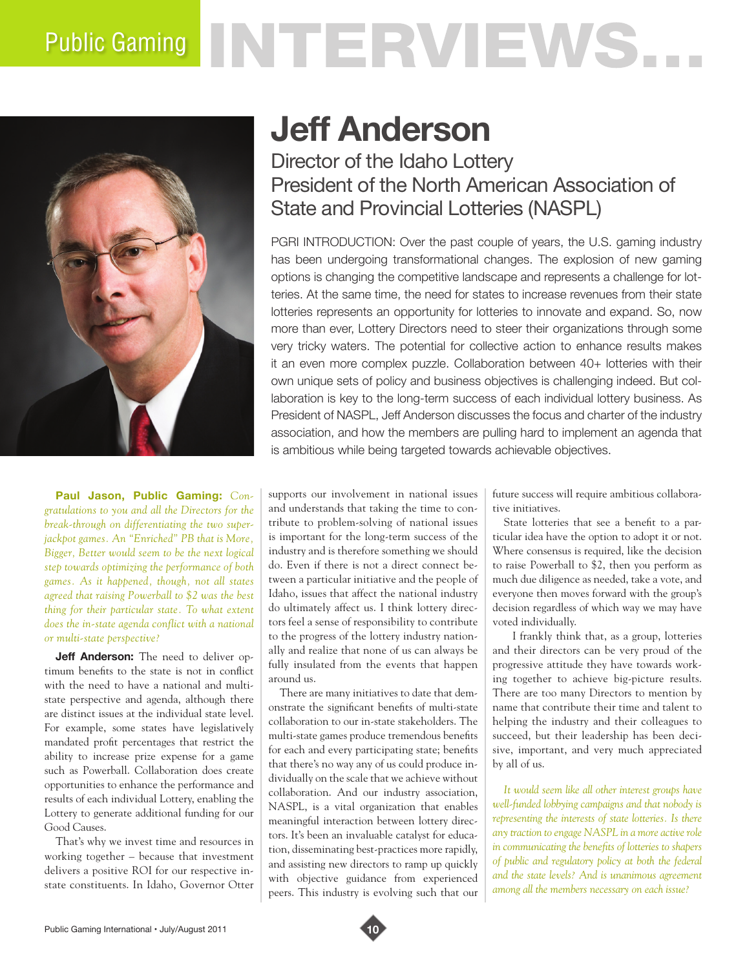## Public Gaming NTERVIEWS.



**Paul Jason, Public Gaming:** *Congratulations to you and all the Directors for the break-through on differentiating the two superjackpot games. An "Enriched" PB that is More, Bigger, Better would seem to be the next logical step towards optimizing the performance of both games. As it happened, though, not all states agreed that raising Powerball to \$2 was the best thing for their particular state. To what extent does the in-state agenda conflict with a national or multi-state perspective?* 

**Jeff Anderson:** The need to deliver optimum benefits to the state is not in conflict with the need to have a national and multistate perspective and agenda, although there are distinct issues at the individual state level. For example, some states have legislatively mandated profit percentages that restrict the ability to increase prize expense for a game such as Powerball. Collaboration does create opportunities to enhance the performance and results of each individual Lottery, enabling the Lottery to generate additional funding for our Good Causes.

That's why we invest time and resources in working together – because that investment delivers a positive ROI for our respective instate constituents. In Idaho, Governor Otter

## **Jeff Anderson**

Director of the Idaho Lottery President of the North American Association of State and Provincial Lotteries (NASPL)

PGRI INTRODUCTION: Over the past couple of years, the U.S. gaming industry has been undergoing transformational changes. The explosion of new gaming options is changing the competitive landscape and represents a challenge for lotteries. At the same time, the need for states to increase revenues from their state lotteries represents an opportunity for lotteries to innovate and expand. So, now more than ever, Lottery Directors need to steer their organizations through some very tricky waters. The potential for collective action to enhance results makes it an even more complex puzzle. Collaboration between 40+ lotteries with their own unique sets of policy and business objectives is challenging indeed. But collaboration is key to the long-term success of each individual lottery business. As President of NASPL, Jeff Anderson discusses the focus and charter of the industry association, and how the members are pulling hard to implement an agenda that is ambitious while being targeted towards achievable objectives.

supports our involvement in national issues and understands that taking the time to contribute to problem-solving of national issues is important for the long-term success of the industry and is therefore something we should do. Even if there is not a direct connect between a particular initiative and the people of Idaho, issues that affect the national industry do ultimately affect us. I think lottery directors feel a sense of responsibility to contribute to the progress of the lottery industry nationally and realize that none of us can always be fully insulated from the events that happen around us.

There are many initiatives to date that demonstrate the significant benefits of multi-state collaboration to our in-state stakeholders. The multi-state games produce tremendous benefits for each and every participating state; benefits that there's no way any of us could produce individually on the scale that we achieve without collaboration. And our industry association, NASPL, is a vital organization that enables meaningful interaction between lottery directors. It's been an invaluable catalyst for education, disseminating best-practices more rapidly, and assisting new directors to ramp up quickly with objective guidance from experienced peers. This industry is evolving such that our future success will require ambitious collaborative initiatives.

State lotteries that see a benefit to a particular idea have the option to adopt it or not. Where consensus is required, like the decision to raise Powerball to \$2, then you perform as much due diligence as needed, take a vote, and everyone then moves forward with the group's decision regardless of which way we may have voted individually.

I frankly think that, as a group, lotteries and their directors can be very proud of the progressive attitude they have towards working together to achieve big-picture results. There are too many Directors to mention by name that contribute their time and talent to helping the industry and their colleagues to succeed, but their leadership has been decisive, important, and very much appreciated by all of us.

*It would seem like all other interest groups have well-funded lobbying campaigns and that nobody is representing the interests of state lotteries. Is there any traction to engage NASPL in a more active role in communicating the benefits of lotteries to shapers of public and regulatory policy at both the federal and the state levels? And is unanimous agreement among all the members necessary on each issue?* 

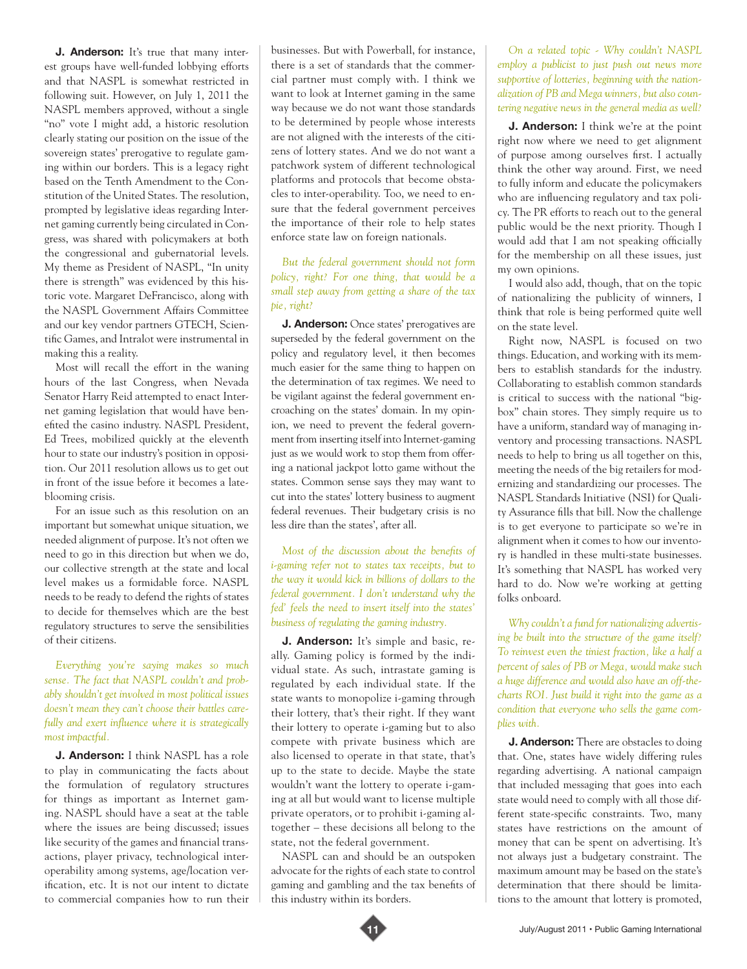**J. Anderson:** It's true that many interest groups have well-funded lobbying efforts and that NASPL is somewhat restricted in following suit. However, on July 1, 2011 the NASPL members approved, without a single "no" vote I might add, a historic resolution clearly stating our position on the issue of the sovereign states' prerogative to regulate gaming within our borders. This is a legacy right based on the Tenth Amendment to the Constitution of the United States. The resolution, prompted by legislative ideas regarding Internet gaming currently being circulated in Congress, was shared with policymakers at both the congressional and gubernatorial levels. My theme as President of NASPL, "In unity there is strength" was evidenced by this historic vote. Margaret DeFrancisco, along with the NASPL Government Affairs Committee and our key vendor partners GTECH, Scientific Games, and Intralot were instrumental in making this a reality.

Most will recall the effort in the waning hours of the last Congress, when Nevada Senator Harry Reid attempted to enact Internet gaming legislation that would have benefited the casino industry. NASPL President, Ed Trees, mobilized quickly at the eleventh hour to state our industry's position in opposition. Our 2011 resolution allows us to get out in front of the issue before it becomes a lateblooming crisis.

For an issue such as this resolution on an important but somewhat unique situation, we needed alignment of purpose. It's not often we need to go in this direction but when we do, our collective strength at the state and local level makes us a formidable force. NASPL needs to be ready to defend the rights of states to decide for themselves which are the best regulatory structures to serve the sensibilities of their citizens.

*Everything you're saying makes so much sense. The fact that NASPL couldn't and probably shouldn't get involved in most political issues doesn't mean they can't choose their battles carefully and exert influence where it is strategically most impactful.* 

**J. Anderson:** I think NASPL has a role to play in communicating the facts about the formulation of regulatory structures for things as important as Internet gaming. NASPL should have a seat at the table where the issues are being discussed; issues like security of the games and financial transactions, player privacy, technological interoperability among systems, age/location verification, etc. It is not our intent to dictate to commercial companies how to run their businesses. But with Powerball, for instance, there is a set of standards that the commercial partner must comply with. I think we want to look at Internet gaming in the same way because we do not want those standards to be determined by people whose interests are not aligned with the interests of the citizens of lottery states. And we do not want a patchwork system of different technological platforms and protocols that become obstacles to inter-operability. Too, we need to ensure that the federal government perceives the importance of their role to help states enforce state law on foreign nationals.

*But the federal government should not form policy, right? For one thing, that would be a small step away from getting a share of the tax pie, right?* 

**J. Anderson:** Once states' prerogatives are superseded by the federal government on the policy and regulatory level, it then becomes much easier for the same thing to happen on the determination of tax regimes. We need to be vigilant against the federal government encroaching on the states' domain. In my opinion, we need to prevent the federal government from inserting itself into Internet-gaming just as we would work to stop them from offering a national jackpot lotto game without the states. Common sense says they may want to cut into the states' lottery business to augment federal revenues. Their budgetary crisis is no less dire than the states', after all.

*Most of the discussion about the benefits of i-gaming refer not to states tax receipts, but to the way it would kick in billions of dollars to the federal government. I don't understand why the fed' feels the need to insert itself into the states' business of regulating the gaming industry.*

**J. Anderson:** It's simple and basic, really. Gaming policy is formed by the individual state. As such, intrastate gaming is regulated by each individual state. If the state wants to monopolize i-gaming through their lottery, that's their right. If they want their lottery to operate i-gaming but to also compete with private business which are also licensed to operate in that state, that's up to the state to decide. Maybe the state wouldn't want the lottery to operate i-gaming at all but would want to license multiple private operators, or to prohibit i-gaming altogether – these decisions all belong to the state, not the federal government.

NASPL can and should be an outspoken advocate for the rights of each state to control gaming and gambling and the tax benefits of this industry within its borders.



**J. Anderson:** I think we're at the point right now where we need to get alignment of purpose among ourselves first. I actually think the other way around. First, we need to fully inform and educate the policymakers who are influencing regulatory and tax policy. The PR efforts to reach out to the general public would be the next priority. Though I would add that I am not speaking officially for the membership on all these issues, just my own opinions.

I would also add, though, that on the topic of nationalizing the publicity of winners, I think that role is being performed quite well on the state level.

Right now, NASPL is focused on two things. Education, and working with its members to establish standards for the industry. Collaborating to establish common standards is critical to success with the national "bigbox" chain stores. They simply require us to have a uniform, standard way of managing inventory and processing transactions. NASPL needs to help to bring us all together on this, meeting the needs of the big retailers for modernizing and standardizing our processes. The NASPL Standards Initiative (NSI) for Quality Assurance fills that bill. Now the challenge is to get everyone to participate so we're in alignment when it comes to how our inventory is handled in these multi-state businesses. It's something that NASPL has worked very hard to do. Now we're working at getting folks onboard.

*Why couldn't a fund for nationalizing advertising be built into the structure of the game itself? To reinvest even the tiniest fraction, like a half a percent of sales of PB or Mega, would make such a huge difference and would also have an off-thecharts ROI. Just build it right into the game as a condition that everyone who sells the game complies with.* 

**J. Anderson:** There are obstacles to doing that. One, states have widely differing rules regarding advertising. A national campaign that included messaging that goes into each state would need to comply with all those different state-specific constraints. Two, many states have restrictions on the amount of money that can be spent on advertising. It's not always just a budgetary constraint. The maximum amount may be based on the state's determination that there should be limitations to the amount that lottery is promoted,